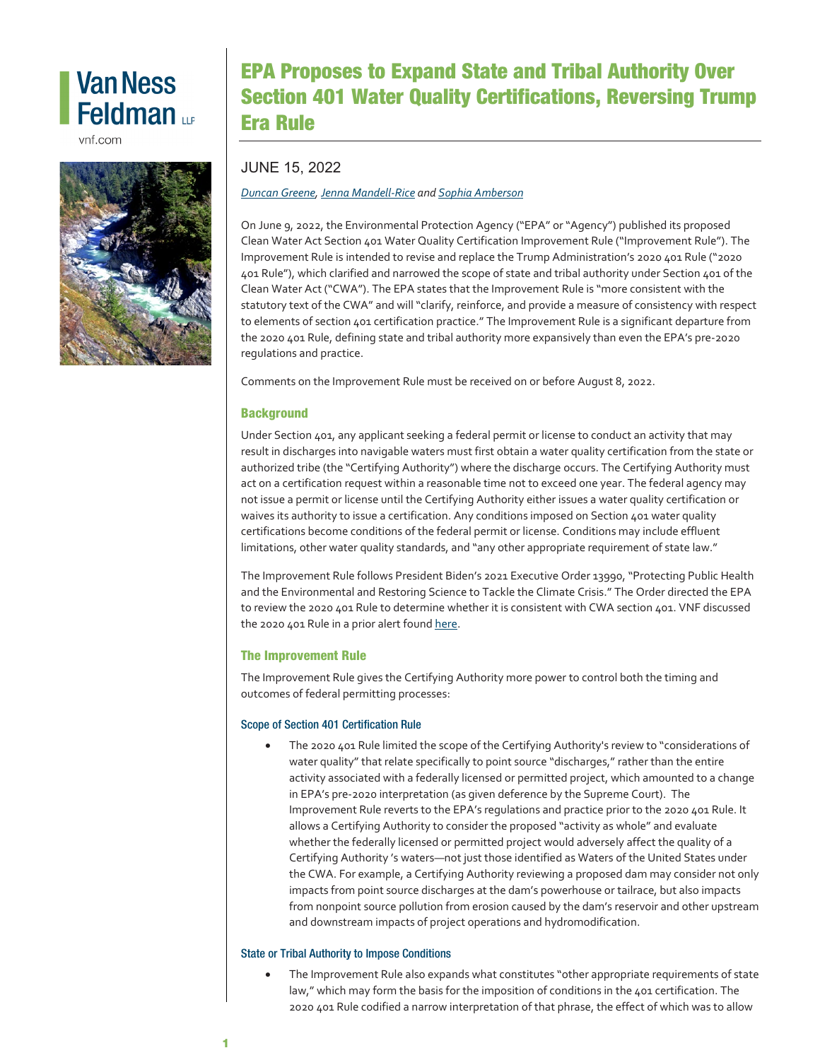# **Van Ness** Feldman up

vnf.com



# EPA Proposes to Expand State and Tribal Authority Over Section 401 Water Quality Certifications, Reversing Trump Era Rule

## JUNE 15, 2022

### *[Duncan Greene,](https://www.vnf.com/dgreene) [Jenna Mandell-Rice](http://www.vnf.com/jmandell-rice) an[d Sophia Amberson](https://www.vnf.com/samberson)*

On June 9, 2022, the Environmental Protection Agency ("EPA" or "Agency") published its proposed Clean Water Act Section 401 Water Quality Certification Improvement Rule ("Improvement Rule"). The Improvement Rule is intended to revise and replace the Trump Administration's 2020 401 Rule ("2020 401 Rule"), which clarified and narrowed the scope of state and tribal authority under Section 401 of the Clean Water Act ("CWA"). The EPA states that the Improvement Rule is "more consistent with the statutory text of the CWA" and will "clarify, reinforce, and provide a measure of consistency with respect to elements of section 401 certification practice." The Improvement Rule is a significant departure from the 2020 401 Rule, defining state and tribal authority more expansively than even the EPA's pre-2020 regulations and practice.

Comments on the Improvement Rule must be received on or before August 8, 2022.

### **Background**

Under Section 401, any applicant seeking a federal permit or license to conduct an activity that may result in discharges into navigable waters must first obtain a water quality certification from the state or authorized tribe (the "Certifying Authority") where the discharge occurs. The Certifying Authority must act on a certification request within a reasonable time not to exceed one year. The federal agency may not issue a permit or license until the Certifying Authority either issues a water quality certification or waives its authority to issue a certification. Any conditions imposed on Section 401 water quality certifications become conditions of the federal permit or license. Conditions may include effluent limitations, other water quality standards, and "any other appropriate requirement of state law."

The Improvement Rule follows President Biden's 2021 Executive Order 13990, "Protecting Public Health and the Environmental and Restoring Science to Tackle the Climate Crisis." The Order directed the EPA to review the 2020 401 Rule to determine whether it is consistent with CWA section 401. VNF discussed the 2020 401 Rule in a prior alert foun[d here.](https://www.vnf.com/epa-issues-final-rule-to-streamline-cwa-section-401-review)

### The Improvement Rule

The Improvement Rule gives the Certifying Authority more power to control both the timing and outcomes of federal permitting processes:

### Scope of Section 401 Certification Rule

• The 2020 401 Rule limited the scope of the Certifying Authority's review to "considerations of water quality" that relate specifically to point source "discharges," rather than the entire activity associated with a federally licensed or permitted project, which amounted to a change in EPA's pre-2020 interpretation (as given deference by the Supreme Court). The Improvement Rule reverts to the EPA's regulations and practice prior to the 2020 401 Rule. It allows a Certifying Authority to consider the proposed "activity as whole" and evaluate whether the federally licensed or permitted project would adversely affect the quality of a Certifying Authority 's waters—not just those identified as Waters of the United States under the CWA. For example, a Certifying Authority reviewing a proposed dam may consider not only impacts from point source discharges at the dam's powerhouse or tailrace, but also impacts from nonpoint source pollution from erosion caused by the dam's reservoir and other upstream and downstream impacts of project operations and hydromodification.

### State or Tribal Authority to Impose Conditions

• The Improvement Rule also expands what constitutes "other appropriate requirements of state law," which may form the basis for the imposition of conditions in the 401 certification. The 2020 401 Rule codified a narrow interpretation of that phrase, the effect of which was to allow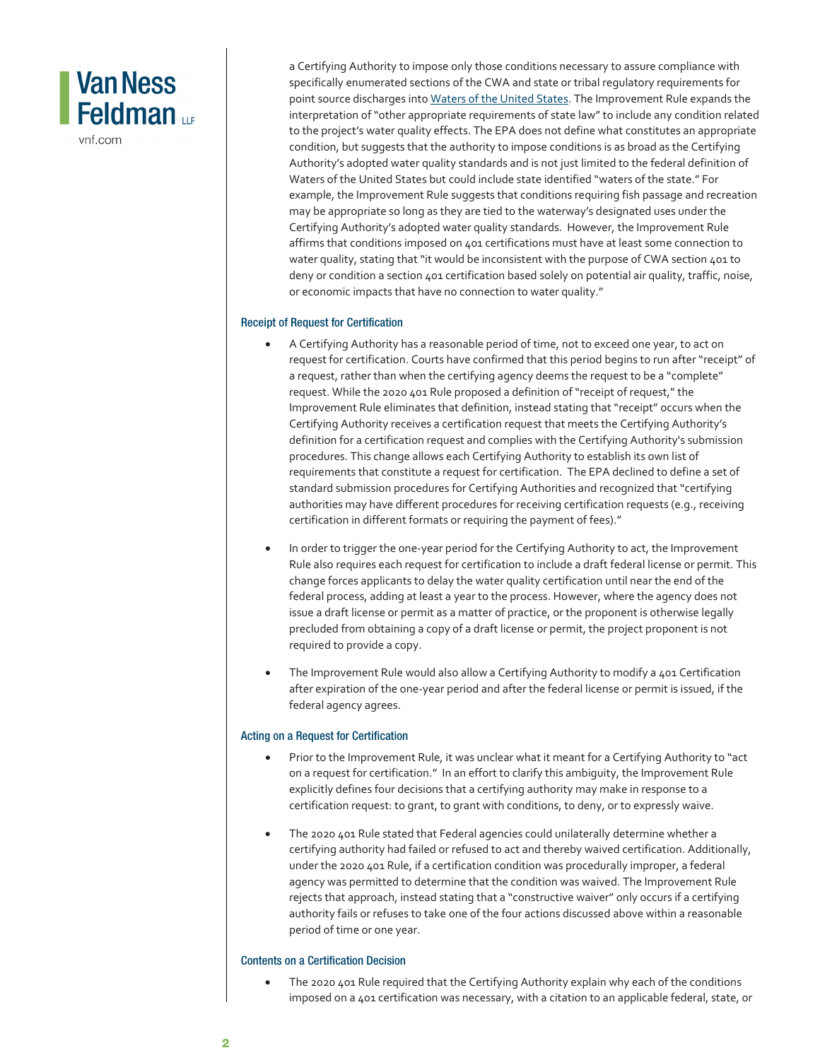# **Van Ness** Feldman <sub>LP</sub>

vnf.com

a Certifying Authority to impose only those conditions necessary to assure compliance with specifically enumerated sections of the CWA and state or tribal regulatory requirements for point source discharges int[o Waters of the United States.](https://www.vnf.com/updated-epa-and-army-corps-announce-latest-update-to-definition-of-waters-of-the-united-states) The Improvement Rule expands the interpretation of "other appropriate requirements of state law" to include any condition related to the project's water quality effects. The EPA does not define what constitutes an appropriate condition, but suggests that the authority to impose conditions is as broad as the Certifying Authority's adopted water quality standards and is not just limited to the federal definition of Waters of the United States but could include state identified "waters of the state." For example, the Improvement Rule suggests that conditions requiring fish passage and recreation may be appropriate so long as they are tied to the waterway's designated uses under the Certifying Authority's adopted water quality standards. However, the Improvement Rule affirms that conditions imposed on 401 certifications must have at least some connection to water quality, stating that "it would be inconsistent with the purpose of CWA section 401 to deny or condition a section 401 certification based solely on potential air quality, traffic, noise, or economic impacts that have no connection to water quality."

#### Receipt of Request for Certification

- A Certifying Authority has a reasonable period of time, not to exceed one year, to act on request for certification. Courts have confirmed that this period begins to run after "receipt" of a request, rather than when the certifying agency deems the request to be a "complete" request. While the 2020 401 Rule proposed a definition of "receipt of request," the Improvement Rule eliminates that definition, instead stating that "receipt" occurs when the Certifying Authority receives a certification request that meets the Certifying Authority's definition for a certification request and complies with the Certifying Authority's submission procedures. This change allows each Certifying Authority to establish its own list of requirements that constitute a request for certification. The EPA declined to define a set of standard submission procedures for Certifying Authorities and recognized that "certifying authorities may have different procedures for receiving certification requests (e.g., receiving certification in different formats or requiring the payment of fees)."
- In order to trigger the one-year period for the Certifying Authority to act, the Improvement Rule also requires each request for certification to include a draft federal license or permit. This change forces applicants to delay the water quality certification until near the end of the federal process, adding at least a year to the process. However, where the agency does not issue a draft license or permit as a matter of practice, or the proponent is otherwise legally precluded from obtaining a copy of a draft license or permit, the project proponent is not required to provide a copy.
- The Improvement Rule would also allow a Certifying Authority to modify a 401 Certification after expiration of the one-year period and after the federal license or permit is issued, if the federal agency agrees.

#### Acting on a Request for Certification

- Prior to the Improvement Rule, it was unclear what it meant for a Certifying Authority to "act on a request for certification." In an effort to clarify this ambiguity, the Improvement Rule explicitly defines four decisions that a certifying authority may make in response to a certification request: to grant, to grant with conditions, to deny, or to expressly waive.
- The 2020 401 Rule stated that Federal agencies could unilaterally determine whether a certifying authority had failed or refused to act and thereby waived certification. Additionally, under the 2020 401 Rule, if a certification condition was procedurally improper, a federal agency was permitted to determine that the condition was waived. The Improvement Rule rejects that approach, instead stating that a "constructive waiver" only occurs if a certifying authority fails or refuses to take one of the four actions discussed above within a reasonable period of time or one year.

#### Contents on a Certification Decision

The 2020 401 Rule required that the Certifying Authority explain why each of the conditions imposed on a 401 certification was necessary, with a citation to an applicable federal, state, or